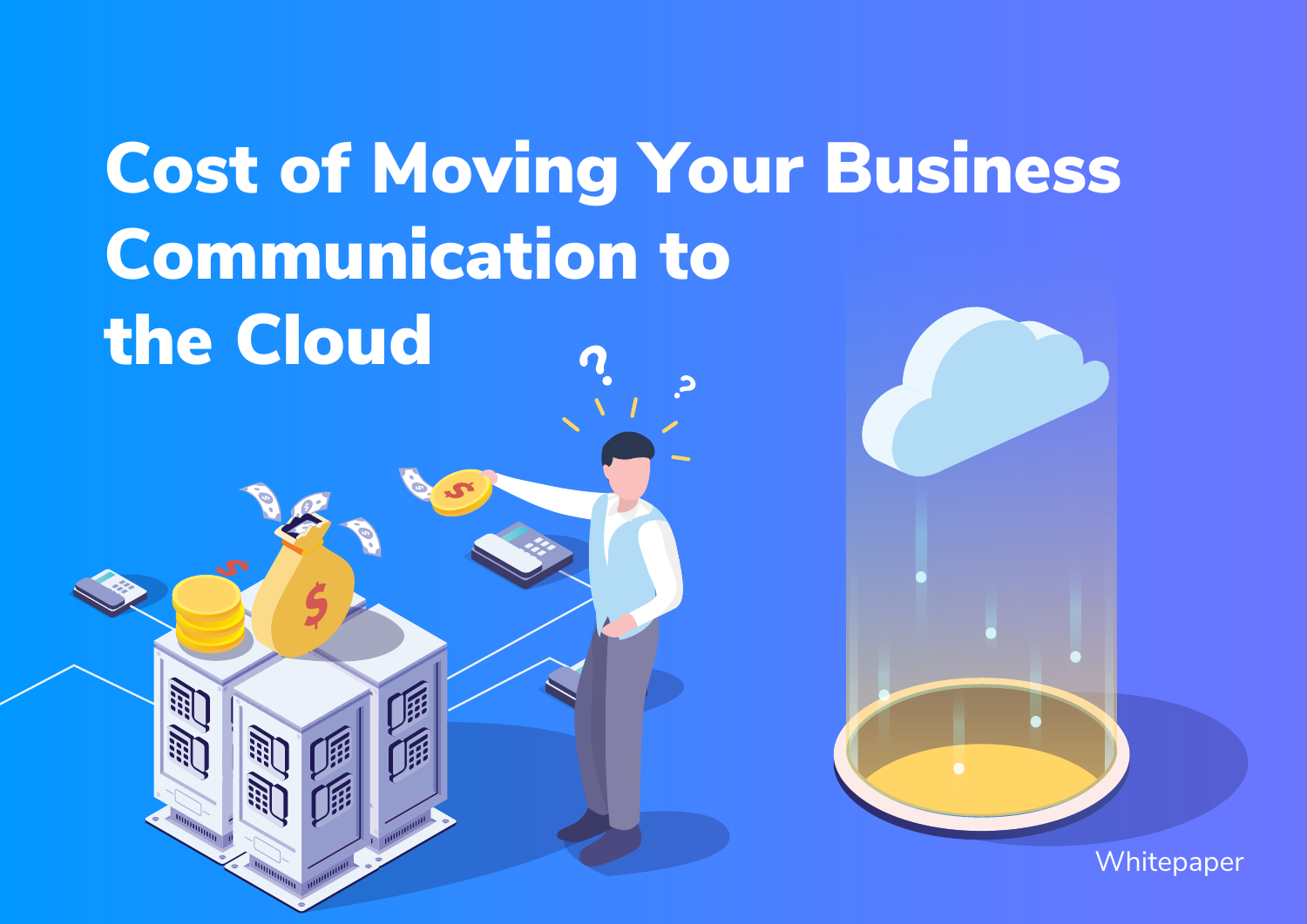# Cost of Moving Your Business Communication to the Cloud

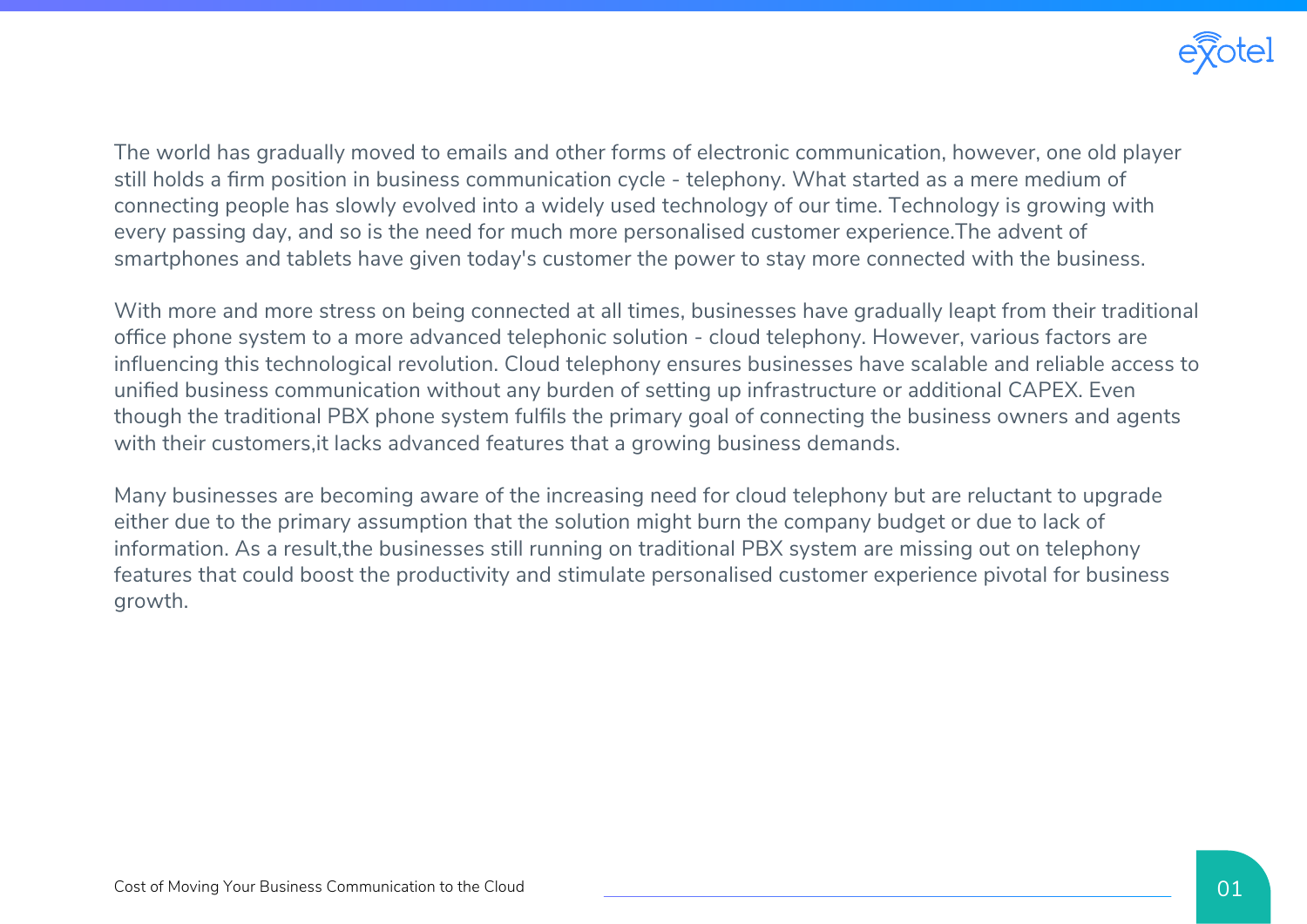

The world has gradually moved to emails and other forms of electronic communication, however, one old player still holds a firm position in business communication cycle - telephony. What started as a mere medium of connecting people has slowly evolved into a widely used technology of our time. Technology is growing with every passing day, and so is the need for much more personalised customer experience.The advent of smartphones and tablets have given today's customer the power to stay more connected with the business.

With more and more stress on being connected at all times, businesses have gradually leapt from their traditional office phone system to a more advanced telephonic solution - cloud telephony. However, various factors are influencing this technological revolution. Cloud telephony ensures businesses have scalable and reliable access to unified business communication without any burden of setting up infrastructure or additional CAPEX. Even though the traditional PBX phone system fulfils the primary goal of connecting the business owners and agents with their customers, it lacks advanced features that a growing business demands.

Many businesses are becoming aware of the increasing need for cloud telephony but are reluctant to upgrade either due to the primary assumption that the solution might burn the company budget or due to lack of information. As a result,the businesses still running on traditional PBX system are missing out on telephony features that could boost the productivity and stimulate personalised customer experience pivotal for business growth.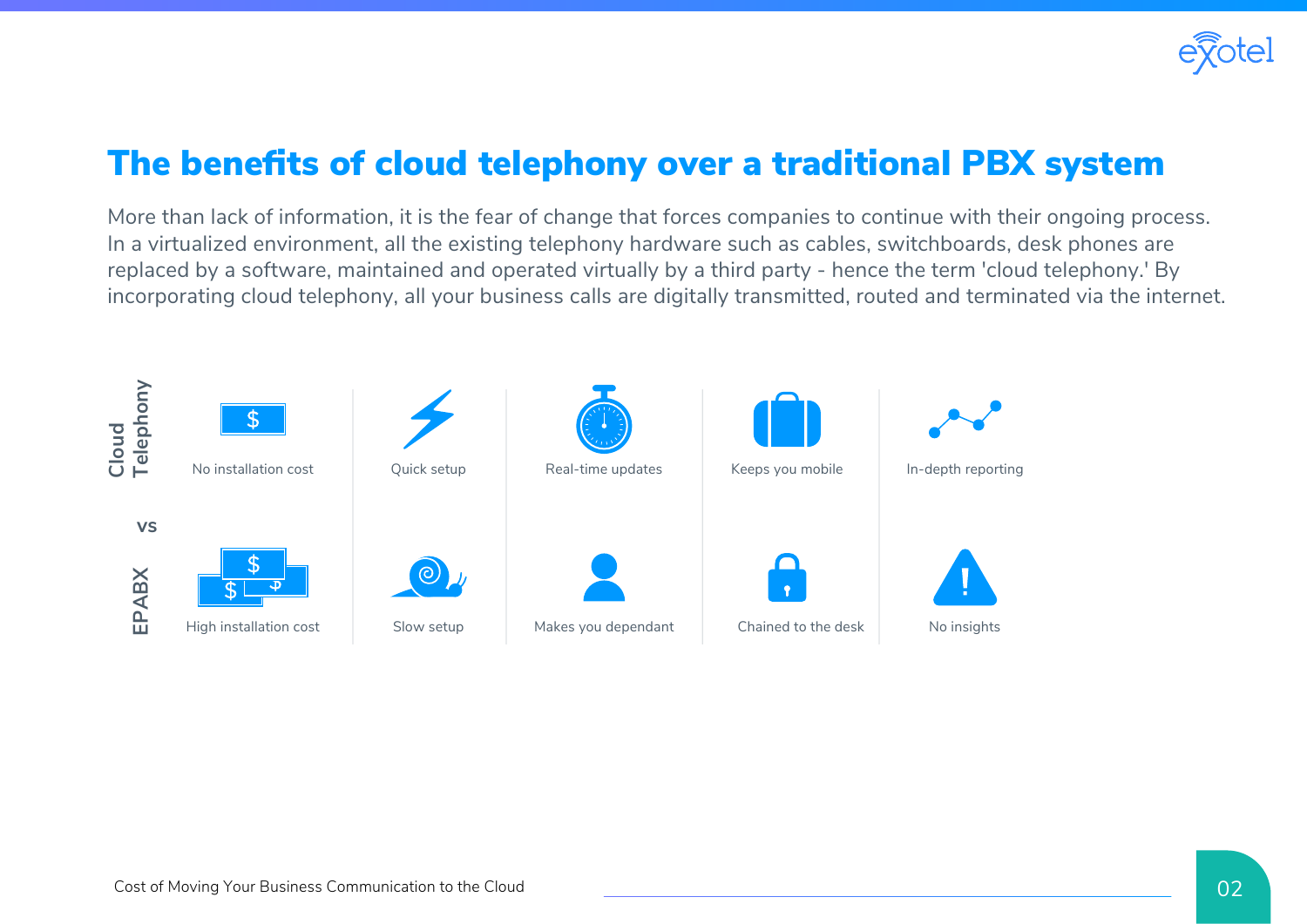

### The benefits of cloud telephony over a traditional PBX system

More than lack of information, it is the fear of change that forces companies to continue with their ongoing process. In a virtualized environment, all the existing telephony hardware such as cables, switchboards, desk phones are replaced by a software, maintained and operated virtually by a third party - hence the term 'cloud telephony.' By incorporating cloud telephony, all your business calls are digitally transmitted, routed and terminated via the internet.

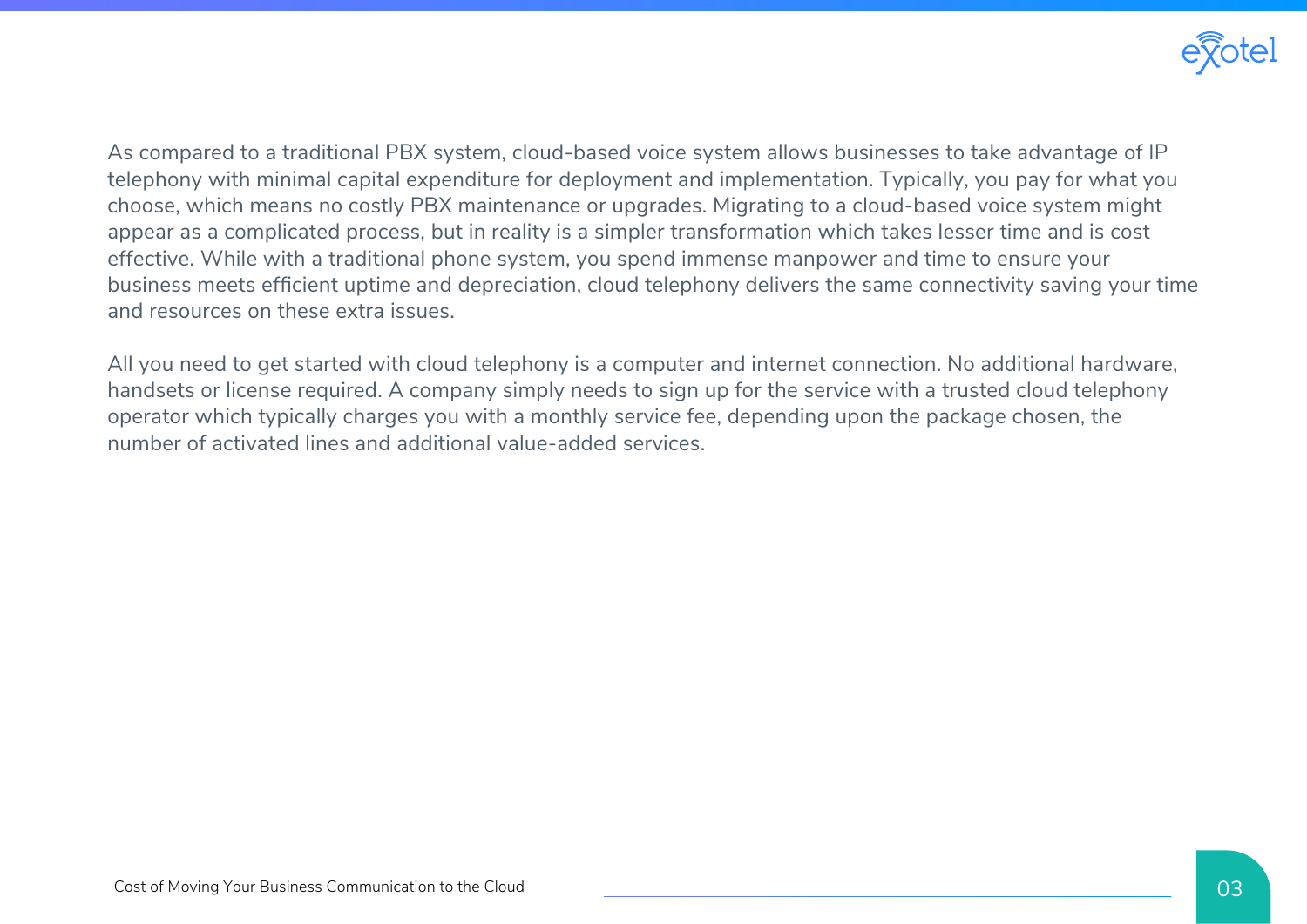

As compared to a traditional PBX system, cloud-based voice system allows businesses to take advantage of IP telephony with minimal capital expenditure for deployment and implementation. Typically, you pay for what you choose, which means no costly PBX maintenance or upgrades. Migrating to a cloud-based voice system might appear as a complicated process, but in reality is a simpler transformation which takes lesser time and is cost effective. While with a traditional phone system, you spend immense manpower and time to ensure your business meets efficient uptime and depreciation, cloud telephony delivers the same connectivity saving your time and resources on these extra issues.

All you need to get started with cloud telephony is a computer and internet connection. No additional hardware, handsets or license required. A company simply needs to sign up for the service with a trusted cloud telephony operator which typically charges you with a monthly service fee, depending upon the package chosen, the number of activated lines and additional value-added services.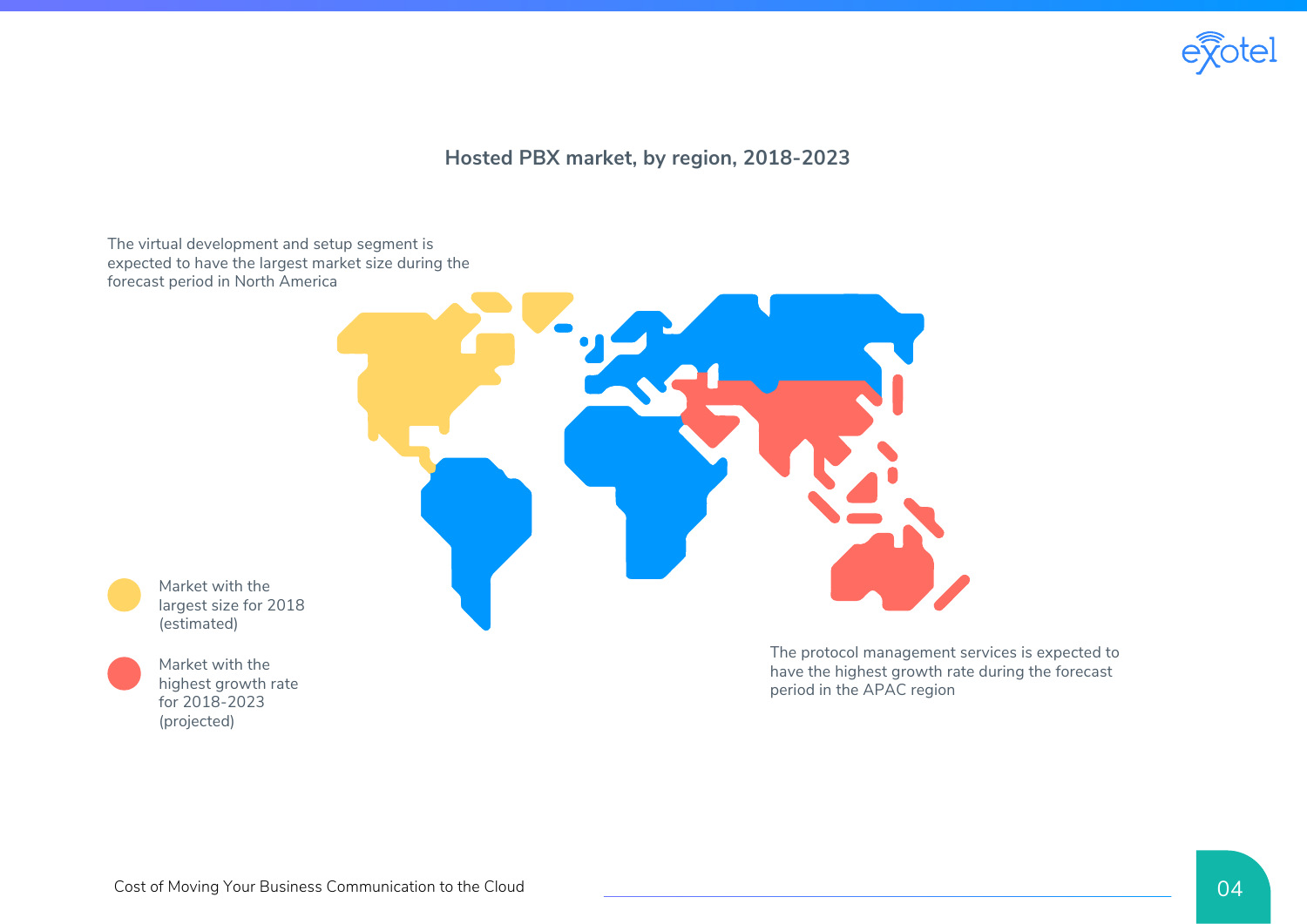

#### **Hosted PBX market, by region, 2018-2023**

The virtual development and setup segment is expected to have the largest market size during the forecast period in North America



Market with the largest size for 2018 (estimated)

Market with the highest growth rate for 2018-2023 (projected)

The protocol management services is expected to have the highest growth rate during the forecast period in the APAC region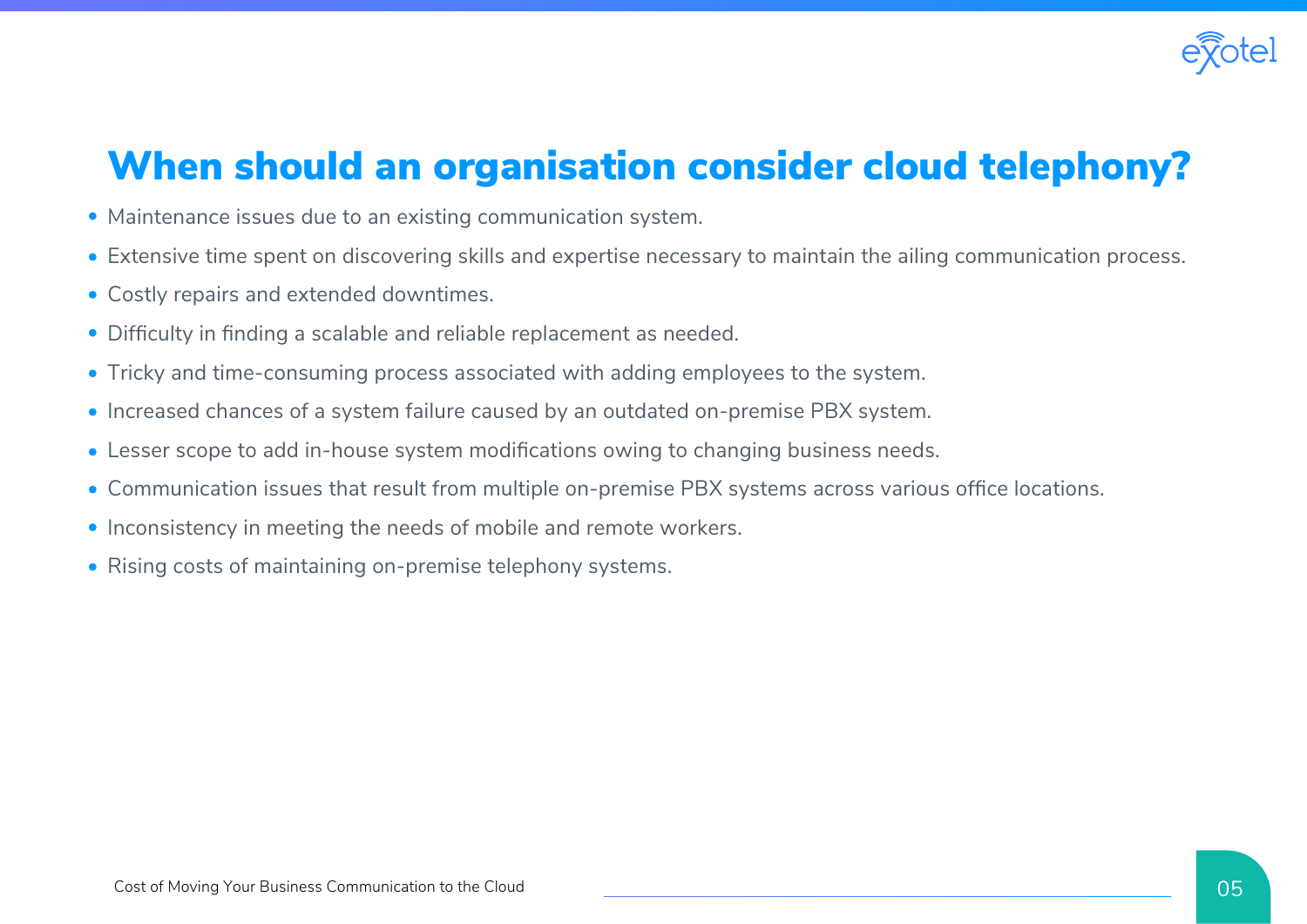

## When should an organisation consider cloud telephony?

- Maintenance issues due to an existing communication system.
- Extensive time spent on discovering skills and expertise necessary to maintain the ailing communication process.
- Costly repairs and extended downtimes.
- Difficulty in finding a scalable and reliable replacement as needed.
- Tricky and time-consuming process associated with adding employees to the system.
- Increased chances of a system failure caused by an outdated on-premise PBX system.
- Lesser scope to add in-house system modifications owing to changing business needs.
- Communication issues that result from multiple on-premise PBX systems across various office locations.
- Inconsistency in meeting the needs of mobile and remote workers.
- Rising costs of maintaining on-premise telephony systems.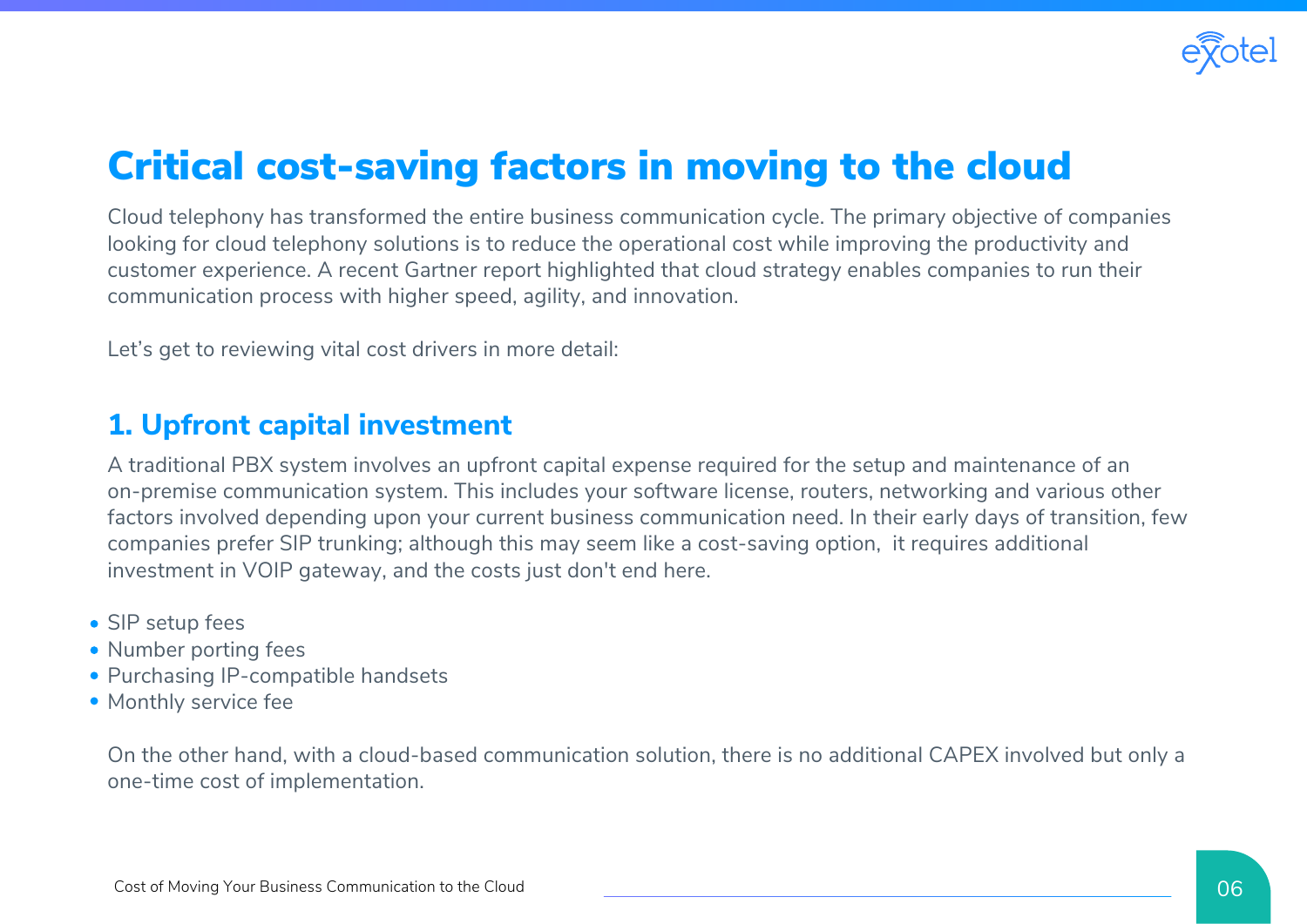

## Critical cost-saving factors in moving to the cloud

Cloud telephony has transformed the entire business communication cycle. The primary objective of companies looking for cloud telephony solutions is to reduce the operational cost while improving the productivity and customer experience. A recent Gartner report highlighted that cloud strategy enables companies to run their communication process with higher speed, agility, and innovation.

Let's get to reviewing vital cost drivers in more detail:

#### **1. Upfront capital investment**

A traditional PBX system involves an upfront capital expense required for the setup and maintenance of an on-premise communication system. This includes your software license, routers, networking and various other factors involved depending upon your current business communication need. In their early days of transition, few companies prefer SIP trunking; although this may seem like a cost-saving option, it requires additional investment in VOIP gateway, and the costs just don't end here.

- SIP setup fees
- Number porting fees
- Purchasing IP-compatible handsets
- Monthly service fee

On the other hand, with a cloud-based communication solution, there is no additional CAPEX involved but only a one-time cost of implementation.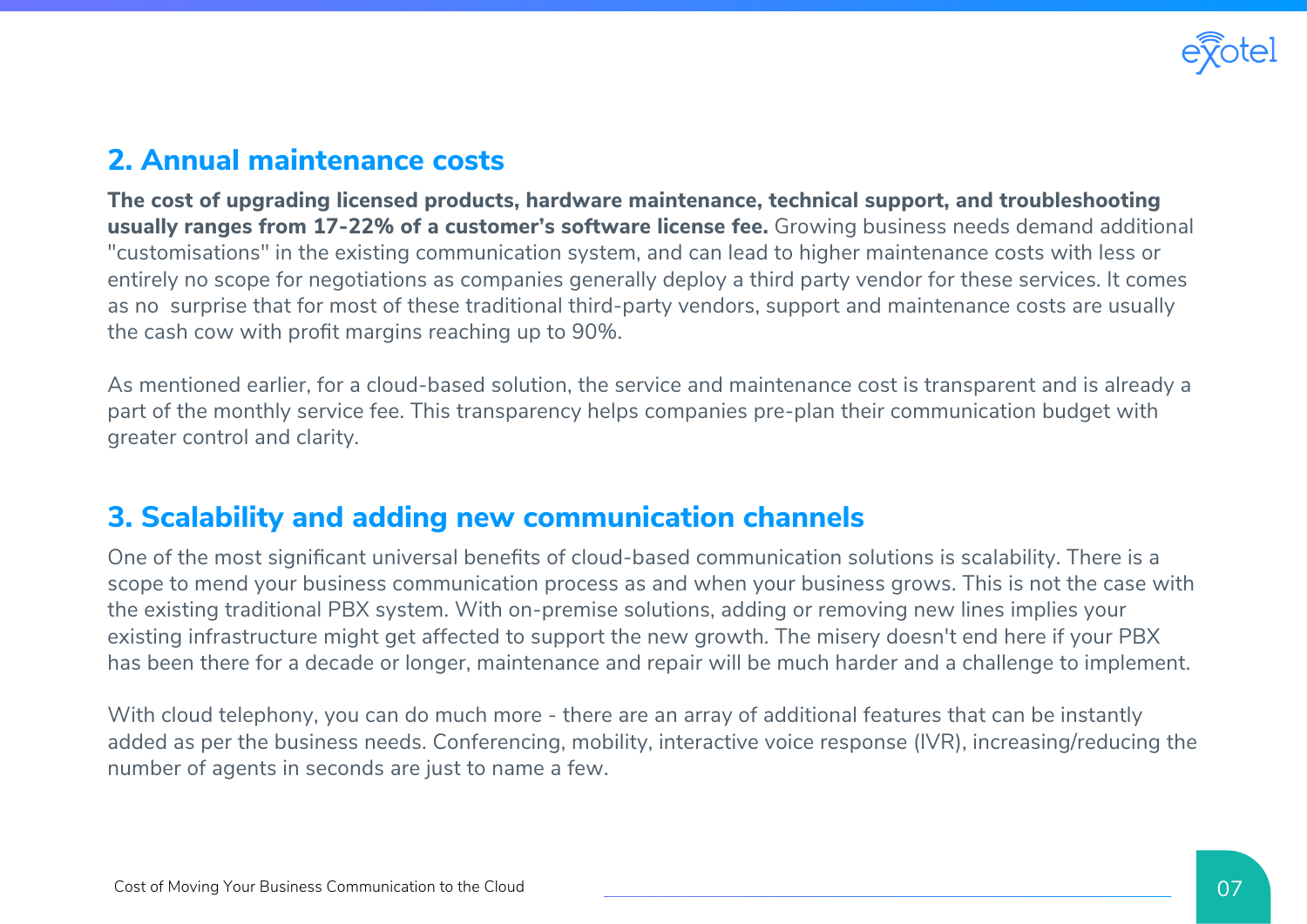

#### **2. Annual maintenance costs**

**The cost of upgrading licensed products, hardware maintenance, technical support, and troubleshooting usually ranges from 17-22% of a customer's software license fee.** Growing business needs demand additional "customisations" in the existing communication system, and can lead to higher maintenance costs with less or entirely no scope for negotiations as companies generally deploy a third party vendor for these services. It comes as no surprise that for most of these traditional third-party vendors, support and maintenance costs are usually the cash cow with profit margins reaching up to 90%.

As mentioned earlier, for a cloud-based solution, the service and maintenance cost is transparent and is already a part of the monthly service fee. This transparency helps companies pre-plan their communication budget with greater control and clarity.

#### **3. Scalability and adding new communication channels**

One of the most significant universal benefits of cloud-based communication solutions is scalability. There is a scope to mend your business communication process as and when your business grows. This is not the case with the existing traditional PBX system. With on-premise solutions, adding or removing new lines implies your existing infrastructure might get affected to support the new growth. The misery doesn't end here if your PBX has been there for a decade or longer, maintenance and repair will be much harder and a challenge to implement.

With cloud telephony, you can do much more - there are an array of additional features that can be instantly added as per the business needs. Conferencing, mobility, interactive voice response (IVR), increasing/reducing the number of agents in seconds are just to name a few.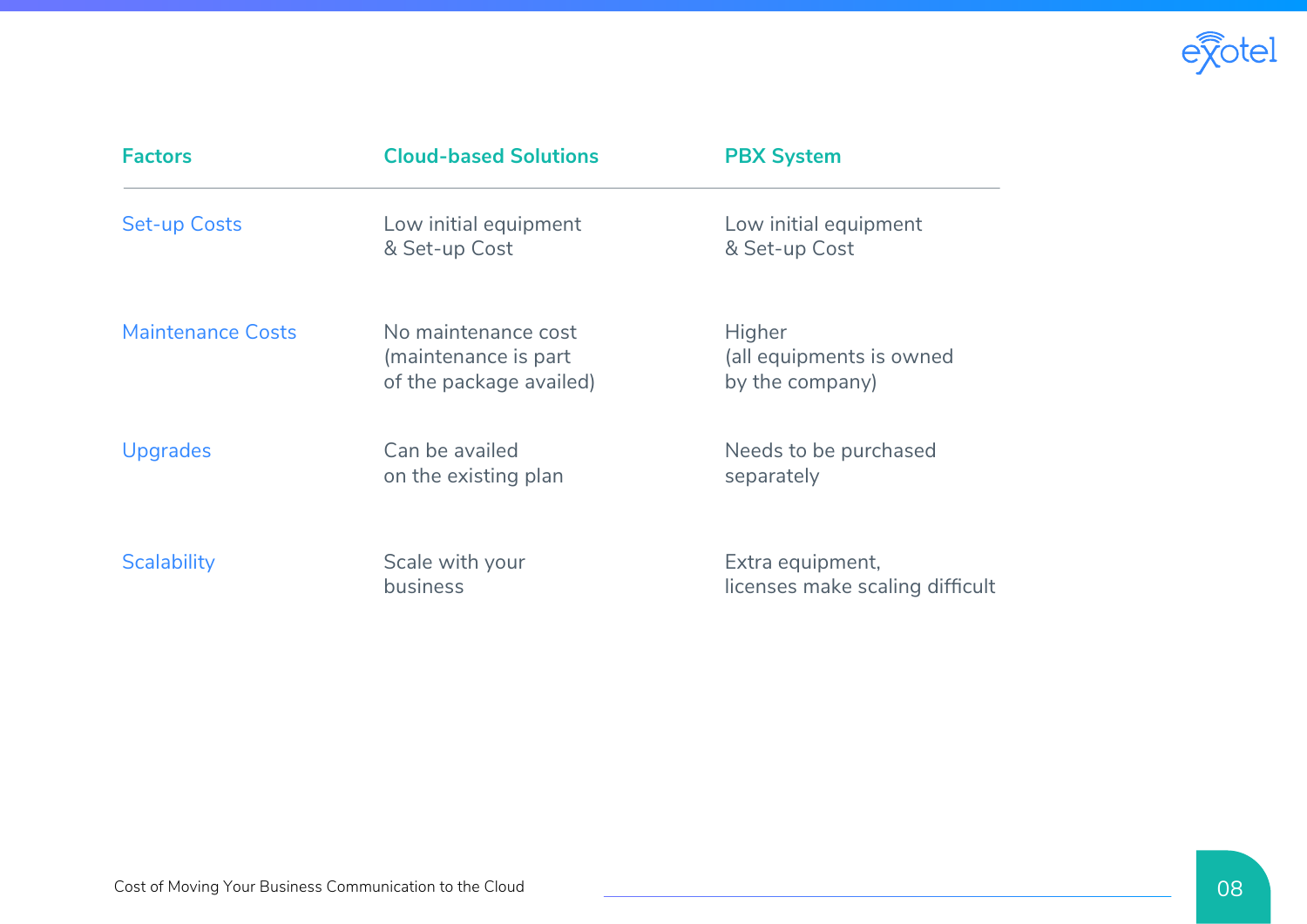

| <b>Factors</b>           | <b>Cloud-based Solutions</b>                                           | <b>PBX System</b>                                     |
|--------------------------|------------------------------------------------------------------------|-------------------------------------------------------|
| <b>Set-up Costs</b>      | Low initial equipment<br>& Set-up Cost                                 | Low initial equipment<br>& Set-up Cost                |
| <b>Maintenance Costs</b> | No maintenance cost<br>(maintenance is part<br>of the package availed) | Higher<br>(all equipments is owned<br>by the company) |
| <b>Upgrades</b>          | Can be availed<br>on the existing plan                                 | Needs to be purchased<br>separately                   |
| <b>Scalability</b>       | Scale with your<br>business                                            | Extra equipment,<br>licenses make scaling difficult   |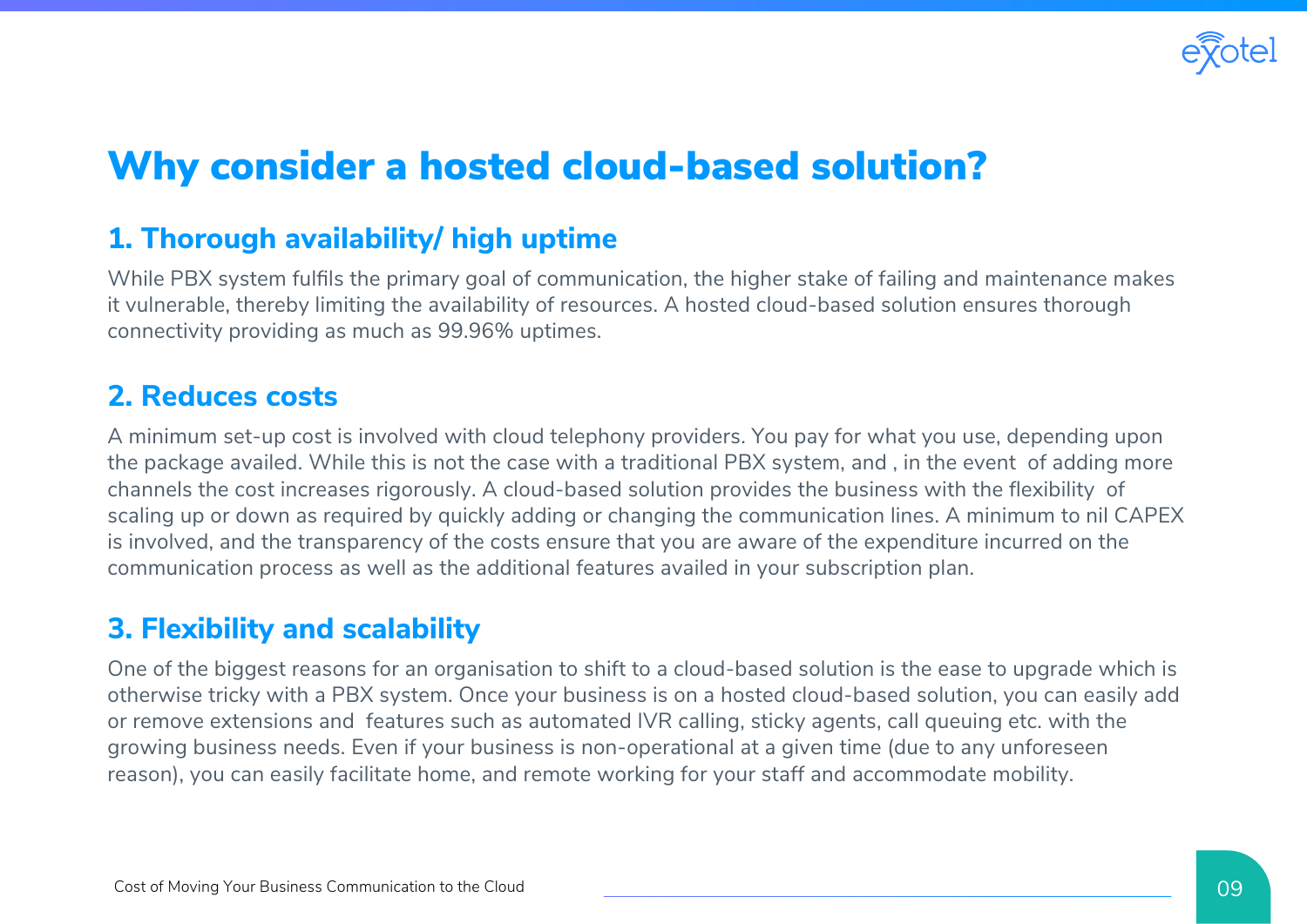

## Why consider a hosted cloud-based solution?

#### **1. Thorough availability/ high uptime**

While PBX system fulfils the primary goal of communication, the higher stake of failing and maintenance makes it vulnerable, thereby limiting the availability of resources. A hosted cloud-based solution ensures thorough connectivity providing as much as 99.96% uptimes.

#### **2. Reduces costs**

A minimum set-up cost is involved with cloud telephony providers. You pay for what you use, depending upon the package availed. While this is not the case with a traditional PBX system, and , in the event of adding more channels the cost increases rigorously. A cloud-based solution provides the business with the flexibility of scaling up or down as required by quickly adding or changing the communication lines. A minimum to nil CAPEX is involved, and the transparency of the costs ensure that you are aware of the expenditure incurred on the communication process as well as the additional features availed in your subscription plan.

#### **3. Flexibility and scalability**

One of the biggest reasons for an organisation to shift to a cloud-based solution is the ease to upgrade which is otherwise tricky with a PBX system. Once your business is on a hosted cloud-based solution, you can easily add or remove extensions and features such as automated IVR calling, sticky agents, call queuing etc. with the growing business needs. Even if your business is non-operational at a given time (due to any unforeseen reason), you can easily facilitate home, and remote working for your staff and accommodate mobility.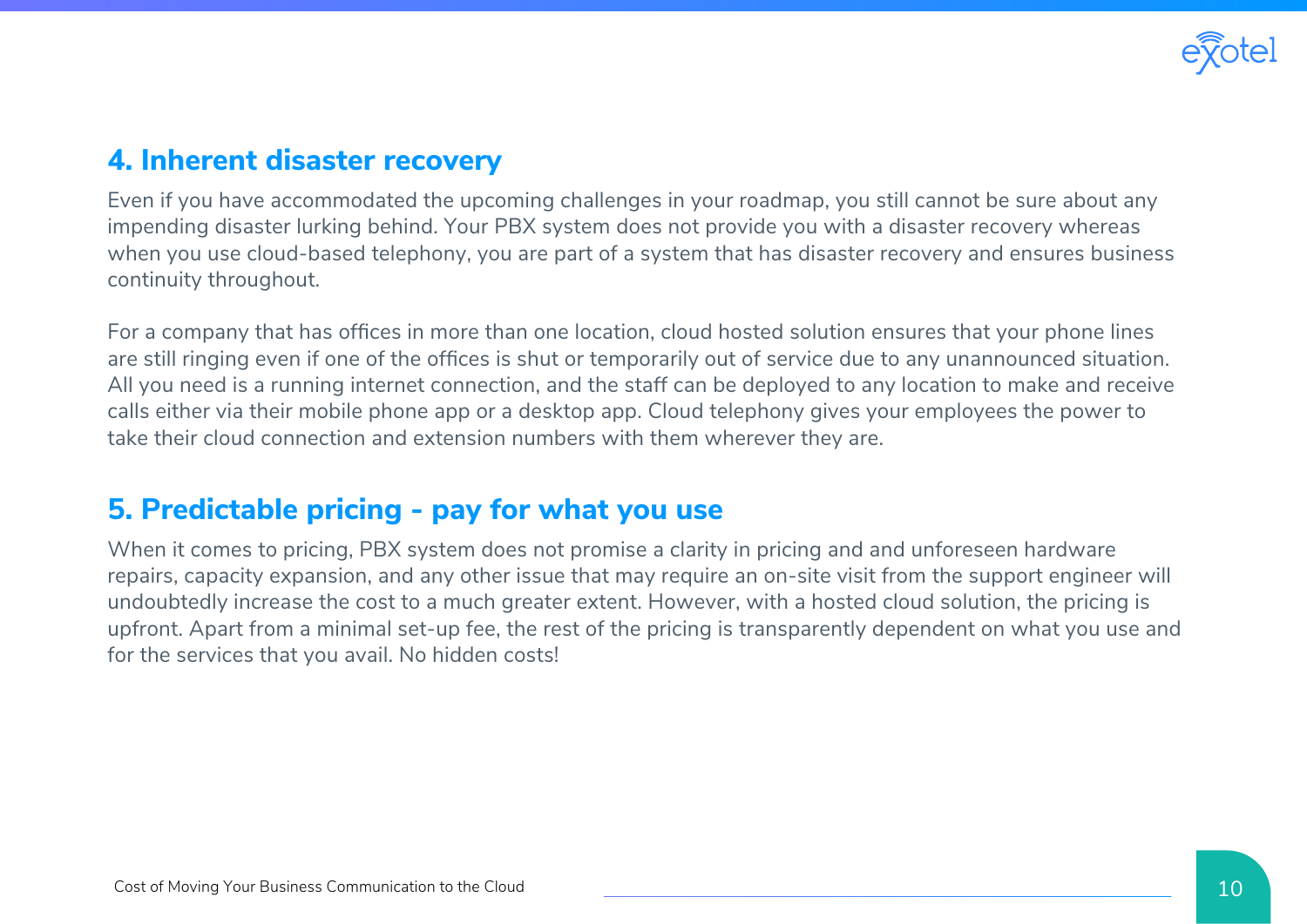

#### **4. Inherent disaster recovery**

Even if you have accommodated the upcoming challenges in your roadmap, you still cannot be sure about any impending disaster lurking behind. Your PBX system does not provide you with a disaster recovery whereas when you use cloud-based telephony, you are part of a system that has disaster recovery and ensures business continuity throughout.

For a company that has offices in more than one location, cloud hosted solution ensures that your phone lines are still ringing even if one of the offices is shut or temporarily out of service due to any unannounced situation. All you need is a running internet connection, and the staff can be deployed to any location to make and receive calls either via their mobile phone app or a desktop app. Cloud telephony gives your employees the power to take their cloud connection and extension numbers with them wherever they are.

#### **5. Predictable pricing - pay for what you use**

When it comes to pricing, PBX system does not promise a clarity in pricing and and unforeseen hardware repairs, capacity expansion, and any other issue that may require an on-site visit from the support engineer will undoubtedly increase the cost to a much greater extent. However, with a hosted cloud solution, the pricing is upfront. Apart from a minimal set-up fee, the rest of the pricing is transparently dependent on what you use and for the services that you avail. No hidden costs!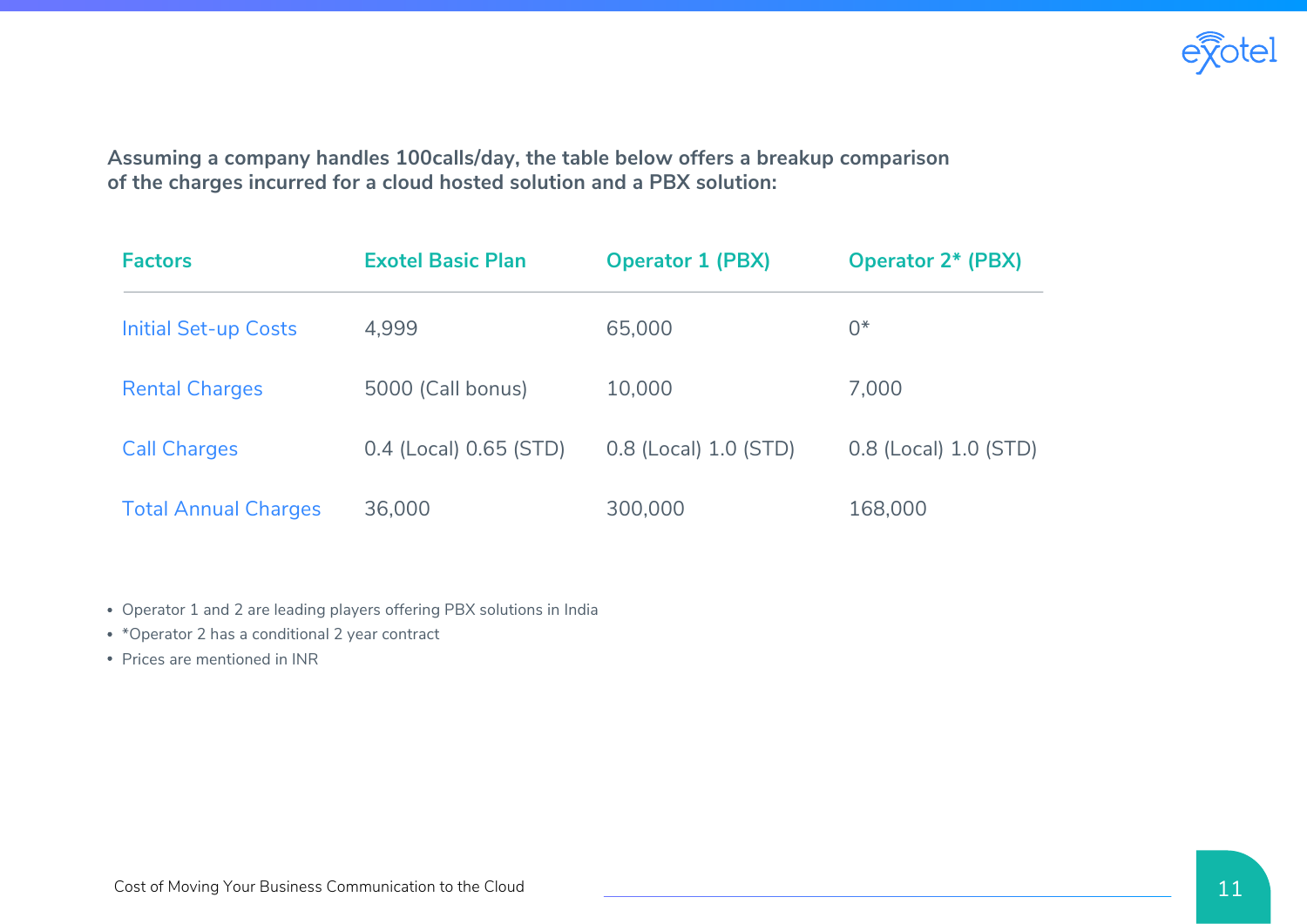

**Assuming a company handles 100calls/day, the table below offers a breakup comparison of the charges incurred for a cloud hosted solution and a PBX solution:**

| <b>Factors</b>              | <b>Exotel Basic Plan</b> | <b>Operator 1 (PBX)</b> | <b>Operator 2* (PBX)</b> |
|-----------------------------|--------------------------|-------------------------|--------------------------|
| <b>Initial Set-up Costs</b> | 4,999                    | 65,000                  | $0*$                     |
| <b>Rental Charges</b>       | 5000 (Call bonus)        | 10,000                  | 7,000                    |
| <b>Call Charges</b>         | 0.4 (Local) 0.65 (STD)   | 0.8 (Local) 1.0 (STD)   | 0.8 (Local) 1.0 (STD)    |
| <b>Total Annual Charges</b> | 36,000                   | 300,000                 | 168,000                  |

Operator 1 and 2 are leading players offering PBX solutions in India

- \*Operator 2 has a conditional 2 year contract
- Prices are mentioned in INR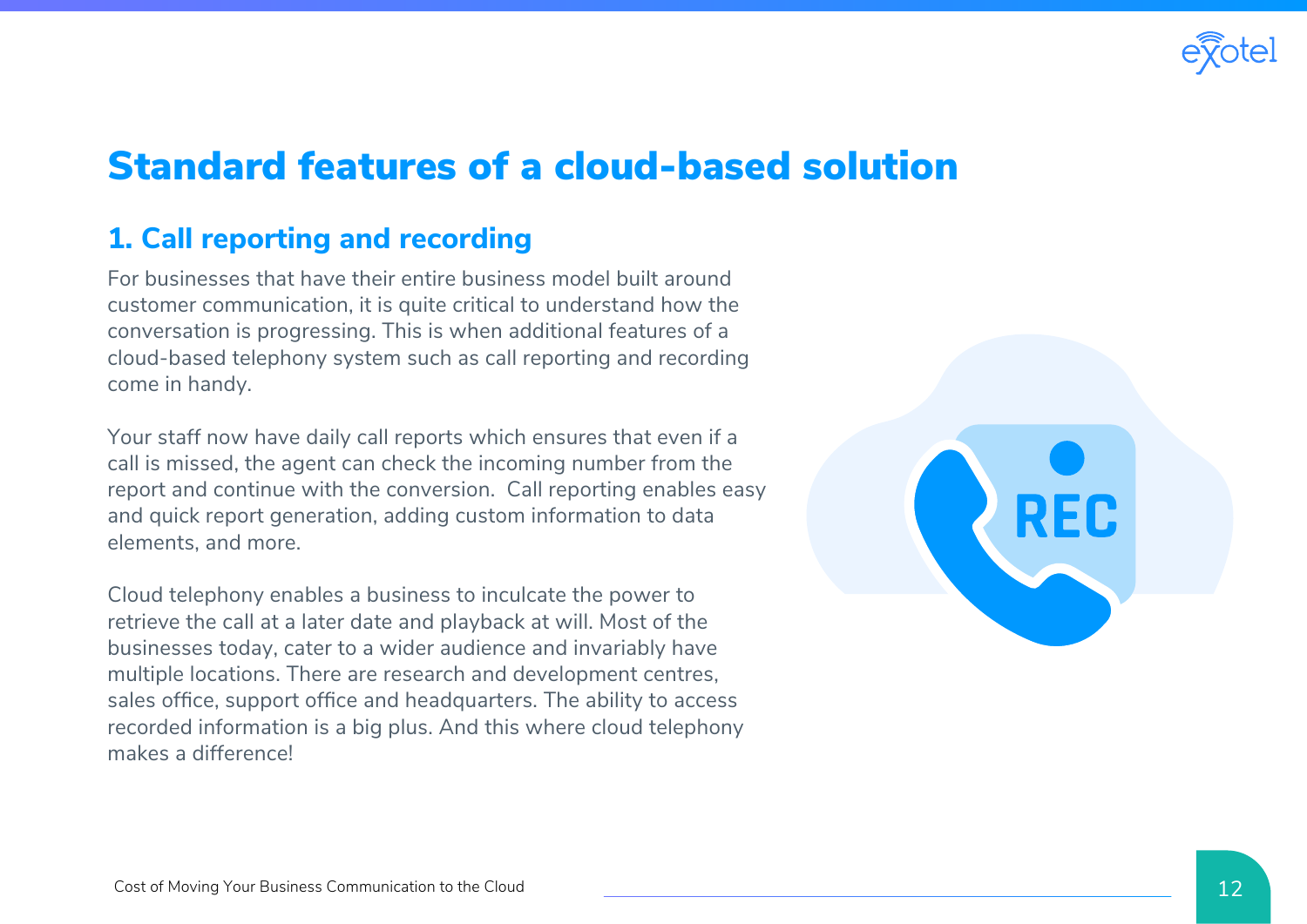

## Standard features of a cloud-based solution

#### **1. Call reporting and recording**

For businesses that have their entire business model built around customer communication, it is quite critical to understand how the conversation is progressing. This is when additional features of a cloud-based telephony system such as call reporting and recording come in handy.

Your staff now have daily call reports which ensures that even if a call is missed, the agent can check the incoming number from the report and continue with the conversion. Call reporting enables easy and quick report generation, adding custom information to data elements, and more.

Cloud telephony enables a business to inculcate the power to retrieve the call at a later date and playback at will. Most of the businesses today, cater to a wider audience and invariably have multiple locations. There are research and development centres, sales office, support office and headquarters. The ability to access recorded information is a big plus. And this where cloud telephony makes a difference!

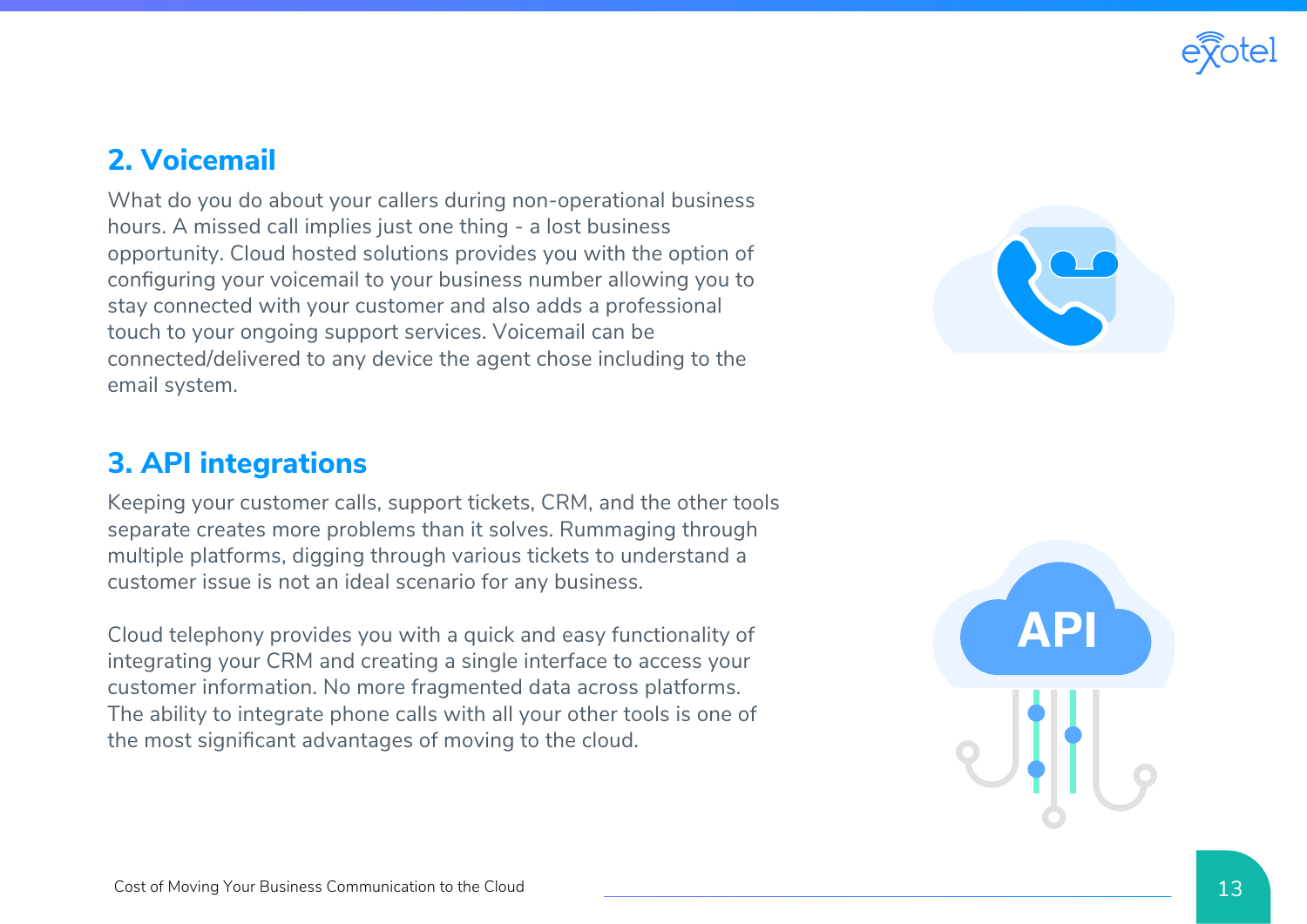

#### **2. Voicemail**

What do you do about your callers during non-operational business hours. A missed call implies just one thing - a lost business opportunity. Cloud hosted solutions provides you with the option of configuring your voicemail to your business number allowing you to stay connected with your customer and also adds a professional touch to your ongoing support services. Voicemail can be connected/delivered to any device the agent chose including to the email system.



#### **3. API integrations**

Keeping your customer calls, support tickets, CRM, and the other tools separate creates more problems than it solves. Rummaging through multiple platforms, digging through various tickets to understand a customer issue is not an ideal scenario for any business.

Cloud telephony provides you with a quick and easy functionality of integrating your CRM and creating a single interface to access your customer information. No more fragmented data across platforms. The ability to integrate phone calls with all your other tools is one of the most significant advantages of moving to the cloud.

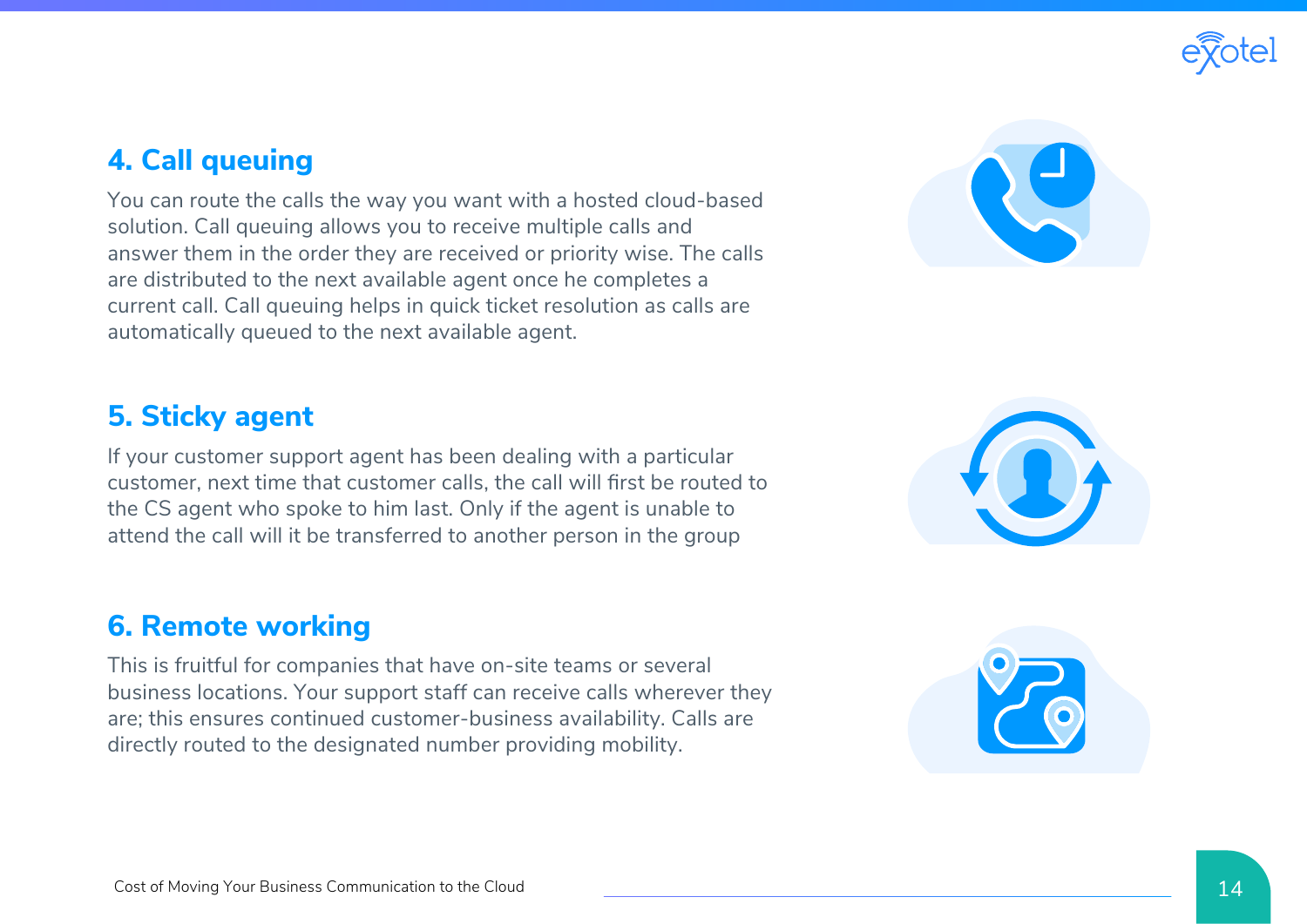

#### **4. Call queuing**

You can route the calls the way you want with a hosted cloud-based solution. Call queuing allows you to receive multiple calls and answer them in the order they are received or priority wise. The calls are distributed to the next available agent once he completes a current call. Call queuing helps in quick ticket resolution as calls are automatically queued to the next available agent.

#### **5. Sticky agent**

If your customer support agent has been dealing with a particular customer, next time that customer calls, the call will first be routed to the CS agent who spoke to him last. Only if the agent is unable to attend the call will it be transferred to another person in the group

#### **6. Remote working**

This is fruitful for companies that have on-site teams or several business locations. Your support staff can receive calls wherever they are; this ensures continued customer-business availability. Calls are directly routed to the designated number providing mobility.





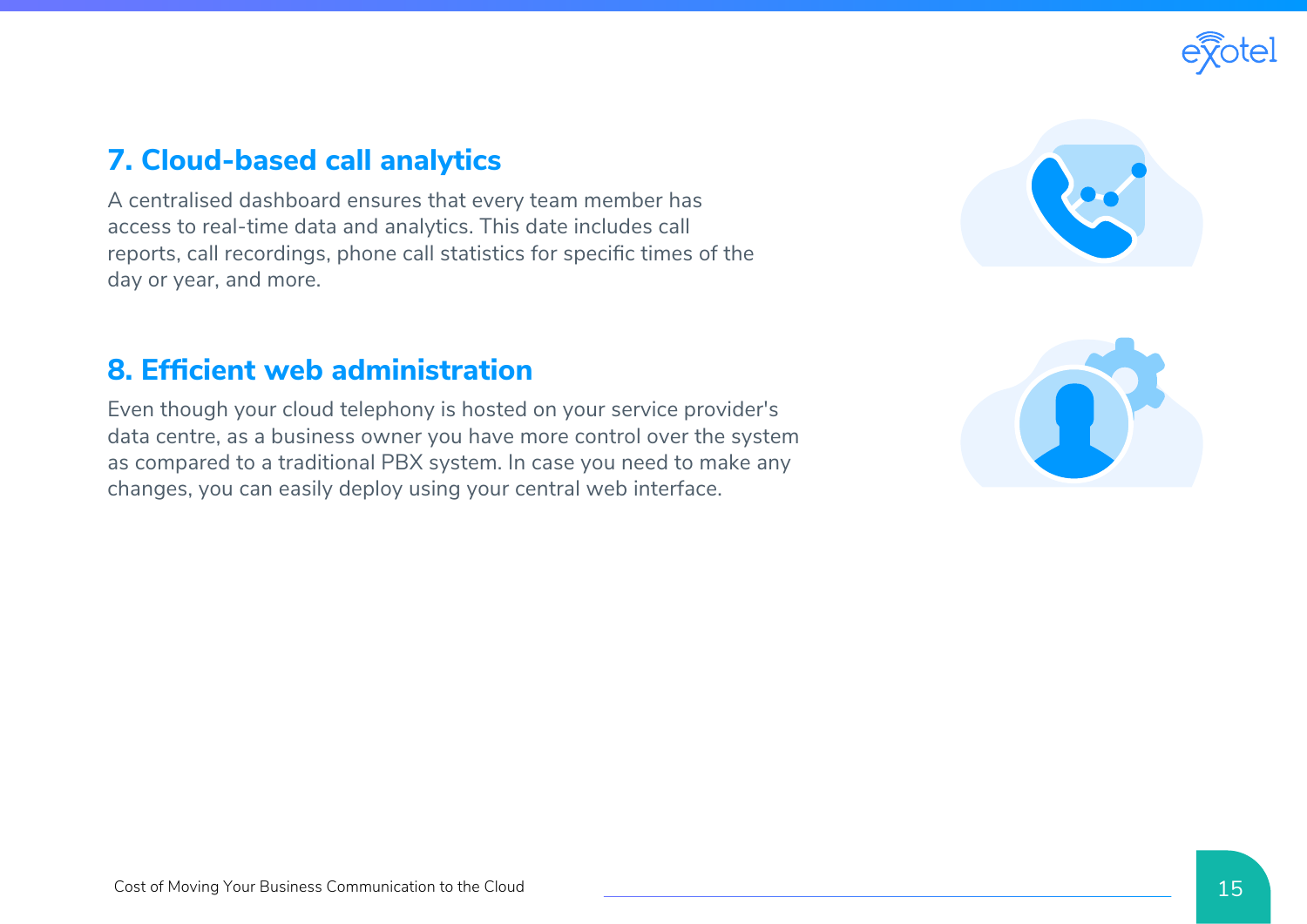

#### **7. Cloud-based call analytics**

A centralised dashboard ensures that every team member has access to real-time data and analytics. This date includes call reports, call recordings, phone call statistics for specific times of the day or year, and more.

#### **8. Efficient web administration**

Even though your cloud telephony is hosted on your service provider's data centre, as a business owner you have more control over the system as compared to a traditional PBX system. In case you need to make any changes, you can easily deploy using your central web interface.